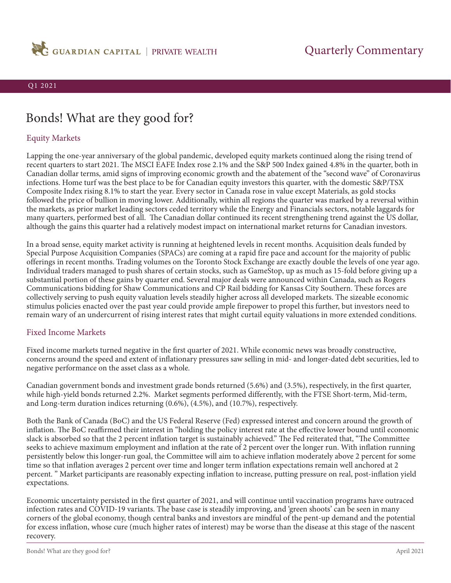

# Bonds! What are they good for?

## Equity Markets

Lapping the one-year anniversary of the global pandemic, developed equity markets continued along the rising trend of recent quarters to start 2021. The MSCI EAFE Index rose 2.1% and the S&P 500 Index gained 4.8% in the quarter, both in Canadian dollar terms, amid signs of improving economic growth and the abatement of the "second wave" of Coronavirus infections. Home turf was the best place to be for Canadian equity investors this quarter, with the domestic S&P/TSX Composite Index rising 8.1% to start the year. Every sector in Canada rose in value except Materials, as gold stocks followed the price of bullion in moving lower. Additionally, within all regions the quarter was marked by a reversal within the markets, as prior market leading sectors ceded territory while the Energy and Financials sectors, notable laggards for many quarters, performed best of all. The Canadian dollar continued its recent strengthening trend against the US dollar, although the gains this quarter had a relatively modest impact on international market returns for Canadian investors.

In a broad sense, equity market activity is running at heightened levels in recent months. Acquisition deals funded by Special Purpose Acquisition Companies (SPACs) are coming at a rapid fire pace and account for the majority of public offerings in recent months. Trading volumes on the Toronto Stock Exchange are exactly double the levels of one year ago. Individual traders managed to push shares of certain stocks, such as GameStop, up as much as 15-fold before giving up a substantial portion of these gains by quarter end. Several major deals were announced within Canada, such as Rogers Communications bidding for Shaw Communications and CP Rail bidding for Kansas City Southern. These forces are collectively serving to push equity valuation levels steadily higher across all developed markets. The sizeable economic stimulus policies enacted over the past year could provide ample firepower to propel this further, but investors need to remain wary of an undercurrent of rising interest rates that might curtail equity valuations in more extended conditions.

### Fixed Income Markets

Fixed income markets turned negative in the first quarter of 2021. While economic news was broadly constructive, concerns around the speed and extent of inflationary pressures saw selling in mid- and longer-dated debt securities, led to negative performance on the asset class as a whole.

Canadian government bonds and investment grade bonds returned (5.6%) and (3.5%), respectively, in the first quarter, while high-yield bonds returned 2.2%. Market segments performed differently, with the FTSE Short-term, Mid-term, and Long-term duration indices returning (0.6%), (4.5%), and (10.7%), respectively.

Both the Bank of Canada (BoC) and the US Federal Reserve (Fed) expressed interest and concern around the growth of inflation. The BoC reaffirmed their interest in "holding the policy interest rate at the effective lower bound until economic slack is absorbed so that the 2 percent inflation target is sustainably achieved." The Fed reiterated that, "The Committee seeks to achieve maximum employment and inflation at the rate of 2 percent over the longer run. With inflation running persistently below this longer-run goal, the Committee will aim to achieve inflation moderately above 2 percent for some time so that inflation averages 2 percent over time and longer term inflation expectations remain well anchored at 2 percent. " Market participants are reasonably expecting inflation to increase, putting pressure on real, post-inflation yield expectations.

Economic uncertainty persisted in the first quarter of 2021, and will continue until vaccination programs have outraced infection rates and COVID-19 variants. The base case is steadily improving, and 'green shoots' can be seen in many corners of the global economy, though central banks and investors are mindful of the pent-up demand and the potential for excess inflation, whose cure (much higher rates of interest) may be worse than the disease at this stage of the nascent recovery.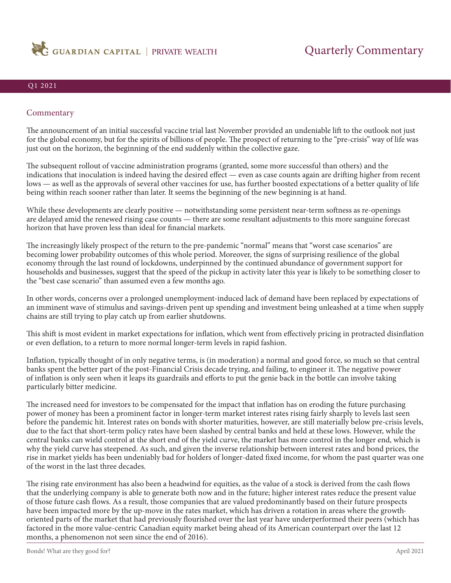

### Commentary

The announcement of an initial successful vaccine trial last November provided an undeniable lift to the outlook not just for the global economy, but for the spirits of billions of people. The prospect of returning to the "pre-crisis" way of life was just out on the horizon, the beginning of the end suddenly within the collective gaze.

The subsequent rollout of vaccine administration programs (granted, some more successful than others) and the indications that inoculation is indeed having the desired effect — even as case counts again are drifting higher from recent lows — as well as the approvals of several other vaccines for use, has further boosted expectations of a better quality of life being within reach sooner rather than later. It seems the beginning of the new beginning is at hand.

While these developments are clearly positive — notwithstanding some persistent near-term softness as re-openings are delayed amid the renewed rising case counts — there are some resultant adjustments to this more sanguine forecast horizon that have proven less than ideal for financial markets.

The increasingly likely prospect of the return to the pre-pandemic "normal" means that "worst case scenarios" are becoming lower probability outcomes of this whole period. Moreover, the signs of surprising resilience of the global economy through the last round of lockdowns, underpinned by the continued abundance of government support for households and businesses, suggest that the speed of the pickup in activity later this year is likely to be something closer to the "best case scenario" than assumed even a few months ago.

In other words, concerns over a prolonged unemployment-induced lack of demand have been replaced by expectations of an imminent wave of stimulus and savings-driven pent up spending and investment being unleashed at a time when supply chains are still trying to play catch up from earlier shutdowns.

This shift is most evident in market expectations for inflation, which went from effectively pricing in protracted disinflation or even deflation, to a return to more normal longer-term levels in rapid fashion.

Inflation, typically thought of in only negative terms, is (in moderation) a normal and good force, so much so that central banks spent the better part of the post-Financial Crisis decade trying, and failing, to engineer it. The negative power of inflation is only seen when it leaps its guardrails and efforts to put the genie back in the bottle can involve taking particularly bitter medicine.

The increased need for investors to be compensated for the impact that inflation has on eroding the future purchasing power of money has been a prominent factor in longer-term market interest rates rising fairly sharply to levels last seen before the pandemic hit. Interest rates on bonds with shorter maturities, however, are still materially below pre-crisis levels, due to the fact that short-term policy rates have been slashed by central banks and held at these lows. However, while the central banks can wield control at the short end of the yield curve, the market has more control in the longer end, which is why the yield curve has steepened. As such, and given the inverse relationship between interest rates and bond prices, the rise in market yields has been undeniably bad for holders of longer-dated fixed income, for whom the past quarter was one of the worst in the last three decades.

The rising rate environment has also been a headwind for equities, as the value of a stock is derived from the cash flows that the underlying company is able to generate both now and in the future; higher interest rates reduce the present value of those future cash flows. As a result, those companies that are valued predominantly based on their future prospects have been impacted more by the up-move in the rates market, which has driven a rotation in areas where the growthoriented parts of the market that had previously flourished over the last year have underperformed their peers (which has factored in the more value-centric Canadian equity market being ahead of its American counterpart over the last 12 months, a phenomenon not seen since the end of 2016).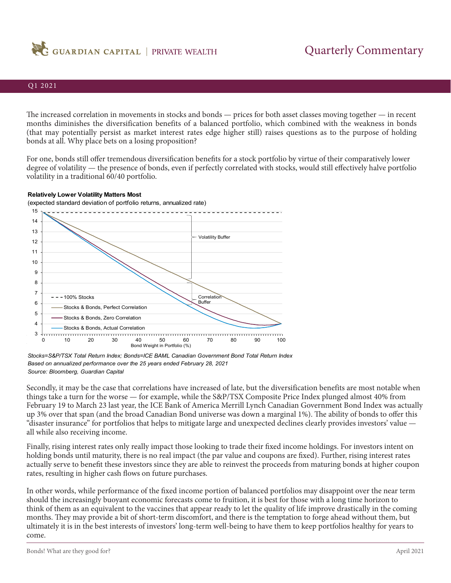

The increased correlation in movements in stocks and bonds — prices for both asset classes moving together — in recent months diminishes the diversification benefits of a balanced portfolio, which combined with the weakness in bonds (that may potentially persist as market interest rates edge higher still) raises questions as to the purpose of holding bonds at all. Why place bets on a losing proposition?

For one, bonds still offer tremendous diversification benefits for a stock portfolio by virtue of their comparatively lower degree of volatility — the presence of bonds, even if perfectly correlated with stocks, would still effectively halve portfolio volatility in a traditional 60/40 portfolio.



(expected standard deviation of portfolio returns, annualized rate) 15 ------------------------------------------------14 13 Volatility Buffer 12 11 10 9 8 7  $- - 100\%$  Stocks Correlation 6 Buffer Stocks & Bonds, Perfect Correlation 5 Stocks & Bonds, Zero Correlation 4 Stocks & Bonds, Actual Correlation 3 <del>. . . . . . . . . .</del> 0 10 20 30 40 50 60 70 80 90 100 Bond Weight in Portfolio (%)

*Stocks=S&P/TSX Total Return Index; Bonds=ICE BAML Canadian Government Bond Total Return Index Based on annualized performance over the 25 years ended February 28, 2021 Source: Bloomberg, Guardian Capital*

Secondly, it may be the case that correlations have increased of late, but the diversification benefits are most notable when things take a turn for the worse — for example, while the S&P/TSX Composite Price Index plunged almost 40% from February 19 to March 23 last year, the ICE Bank of America Merrill Lynch Canadian Government Bond Index was actually up 3% over that span (and the broad Canadian Bond universe was down a marginal 1%). The ability of bonds to offer this "disaster insurance" for portfolios that helps to mitigate large and unexpected declines clearly provides investors' value all while also receiving income.

Finally, rising interest rates only really impact those looking to trade their fixed income holdings. For investors intent on holding bonds until maturity, there is no real impact (the par value and coupons are fixed). Further, rising interest rates actually serve to benefit these investors since they are able to reinvest the proceeds from maturing bonds at higher coupon rates, resulting in higher cash flows on future purchases.

In other words, while performance of the fixed income portion of balanced portfolios may disappoint over the near term should the increasingly buoyant economic forecasts come to fruition, it is best for those with a long time horizon to think of them as an equivalent to the vaccines that appear ready to let the quality of life improve drastically in the coming months. They may provide a bit of short-term discomfort, and there is the temptation to forge ahead without them, but ultimately it is in the best interests of investors' long-term well-being to have them to keep portfolios healthy for years to come.